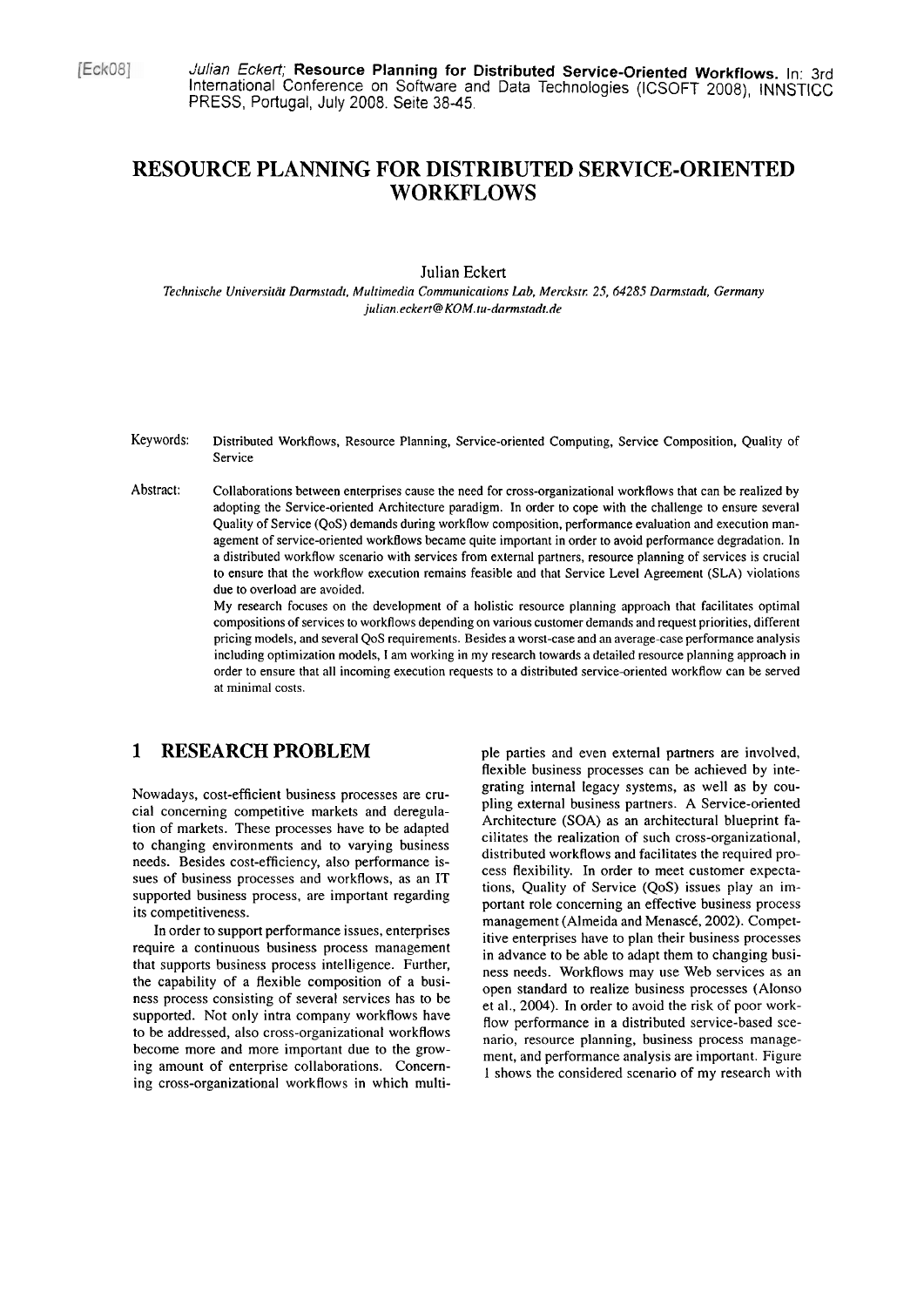# **RESOURCE PLANNING FOR DISTRIBUTED SERVICE-ORIENTED WORKFLOWS**

**Julian** *Eckert* 

*Technische Universiriir Dnrmsrndr. Multimedia Communicnrion.~ Lab, Mercksrz 2.5, 64285 Darmsrnril, Germany julinn.eckert@ KOM.iu-darmstalir.de* 

- Keywords: Distributed Workflows, Resource Planning, Service-oriented Computing, Service Composition, Quality of Service
- Abstract: Collaborations between enterprises cause the need for cross-organizational workflows that can be realized by adopting the Service-oriented Architecture paradigm. In order to cope with the challenge to ensure several Quality of Service (QoS) demands during workflow composition, performance evaiuation and execution management of service-oriented workflows became quite important in order to avoid performance degradation. In a distributed workflow scenario with services from external partners, resource planning of services is crucial to ensure that the workfiow execution remains feasible and that Service Level Agreement (SLA) violations due to overload are avoided.

My research focuses on the development of a holistic resource planning approach that facilitates optimal compositions of services to workflows depending on various customer demands and request priorities, different pricing models, and several QoS requirements. Besides a worst-case and an average-case performance analysis including optimization models, I am working in my research towards a detailed resource planning approach in order to ensure that all incoming execution requests to a distributed service-oriented workflow can be served at minimal costs.

### **1 RESEARCH PROBLEM**

Nowadays, cost-efficient business processes are crucial concerning competitive markets and deregulation of rnarkets. These processes have to be adapted to changing environrnents and to varying business needs. Besides cost-efficiency, also performance issues of business processes and workflows, as an IT supported business process, are important regarding its competitiveness.

In order to Support performance issues, enterprises require a continuous business process management that supports business process intelligence. Further, the capability of a flexible composition of a business process consisting of several services has to be supported. Not only intra company workflows have to be addressed, also cross-organizational workflows become more and more important due to the growing amount of enterprise collaborations. Concerning cross-organizational workflows in which multiple parties and even external partners are involved, flexible business processes can be achieved by integrating intemal legacy Systems, as well as by coupling extemal business partners. A Service-oriented Architecture (SOA) as an architectural blueprint facilitates the realization of such cross-organizational, distributed workflows and facilitates the required process flexibility. In order to meet customer expectations, Quality of Service (QoS) issues play an important role conceming an effective business process management (Almeida and Menascé, 2002). Competitive enterprises have to plan their business processes in advance to be able to adapt thern to changing business needs. Workflows may use Web services as an Open standard to realize business processes (Alonso et al., 2004). In order to avoid the risk of poor workflow performance in a distributed service-based scenario, resource planning, business process management, and performance analysis are important. Figure 1 shows the considered scenario of my research with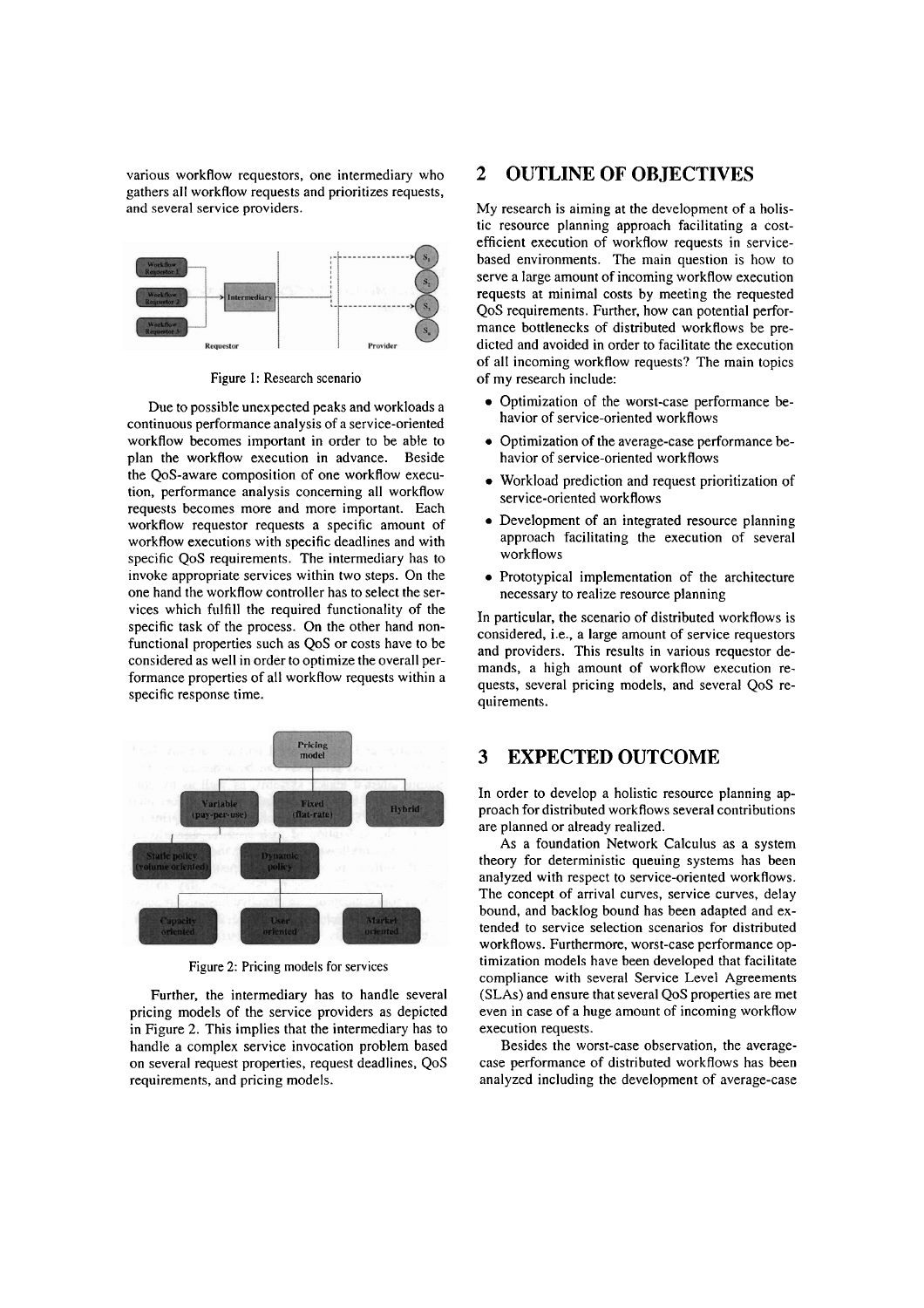various workflow requestors, one intermediary who gathers all workflow requests and prioritizes requests, and several service providers.



Figure 1: Research scenario

Due to possible unexpected peaks and workloads a continuous performance analysis of a service-oriented workflow becomes important in order to be able to plan the workflow execution in advance. Beside the QoS-aware composition of one workflow execution, performance analysis concerning all workflow requests becomes more and more important. Each workflow requestor requests a specific amount of workflow executions with specific deadlines and with specific QoS requirements. The intermediary has to invoke appropriate services within two steps. On the one hand the workflow controller has to select the services which fulfill the required functionality of the specific task of the process. On the other hand nonfunctional properties such as QoS or costs have to be considered as well in order to optimize the overall performance properties of all workflow requests within a specific response time.



Figure 2: Pricing models for services

Further, the intermediary has to handle several pricing models of the service providers as depicted in Figure 2. This implies that the intermediary has to handle a complex service invocation problem based on several request properties, request deadlines, QoS requirements, and pricing models.

### **2 OUTLINE OF OBJECTIVES**

My research is aiming at the development of a holistic resource planning approach facilitating a costefficient execution of workflow requests in servicebased environments. The main question is how to serve a large amount of incoming workflow execution requests at minimal costs by meeting the requested QoS requirements. Further, how can potential performance bottlenecks of distributed workflows be predicted and avoided in order to facilitate the execution of all incoming workflow requests? The main topics of my research include:

- Optimization of the worst-case performance behavior of service-oriented workflows
- Optimization of the average-case performance behavior of service-oriented workflows
- Workload prediction and request prioritization of service-oriented workflows
- Development of an integrated resource planning approach facilitating the execution of several workflows
- Prototypical implementation of the architecture necessary to realize resource planning

In particular, the scenario of distributed workflows is considered, i.e., a large amount of service requestors and providers. This results in various requestor demands, a high amount of workflow execution requests, several pricing models, and several QoS requirements.

### **3 EXPECTED OUTCOME**

In order to develop a holistic resource planning approach for distributed workflows several contributions are planned or already realized.

As a foundation Network Calculus as a system theory for deterministic queuing systems has been analyzed with respect to service-oriented workflows. The concept of arrival curves, service curves, delay bound, and backlog bound has been adapted and extended to service selection scenarios for distributed workflows. Furthermore, worst-case performance optimization models have been developed that facilitate compliance with several Service Level Agreements (SLAs) and ensure that several QoS properties are met even in case of a huge amount of incoming workflow execution requests.

Besides the worst-case observation, the averagecase performance of distributed workflows has been analyzed including the development of average-case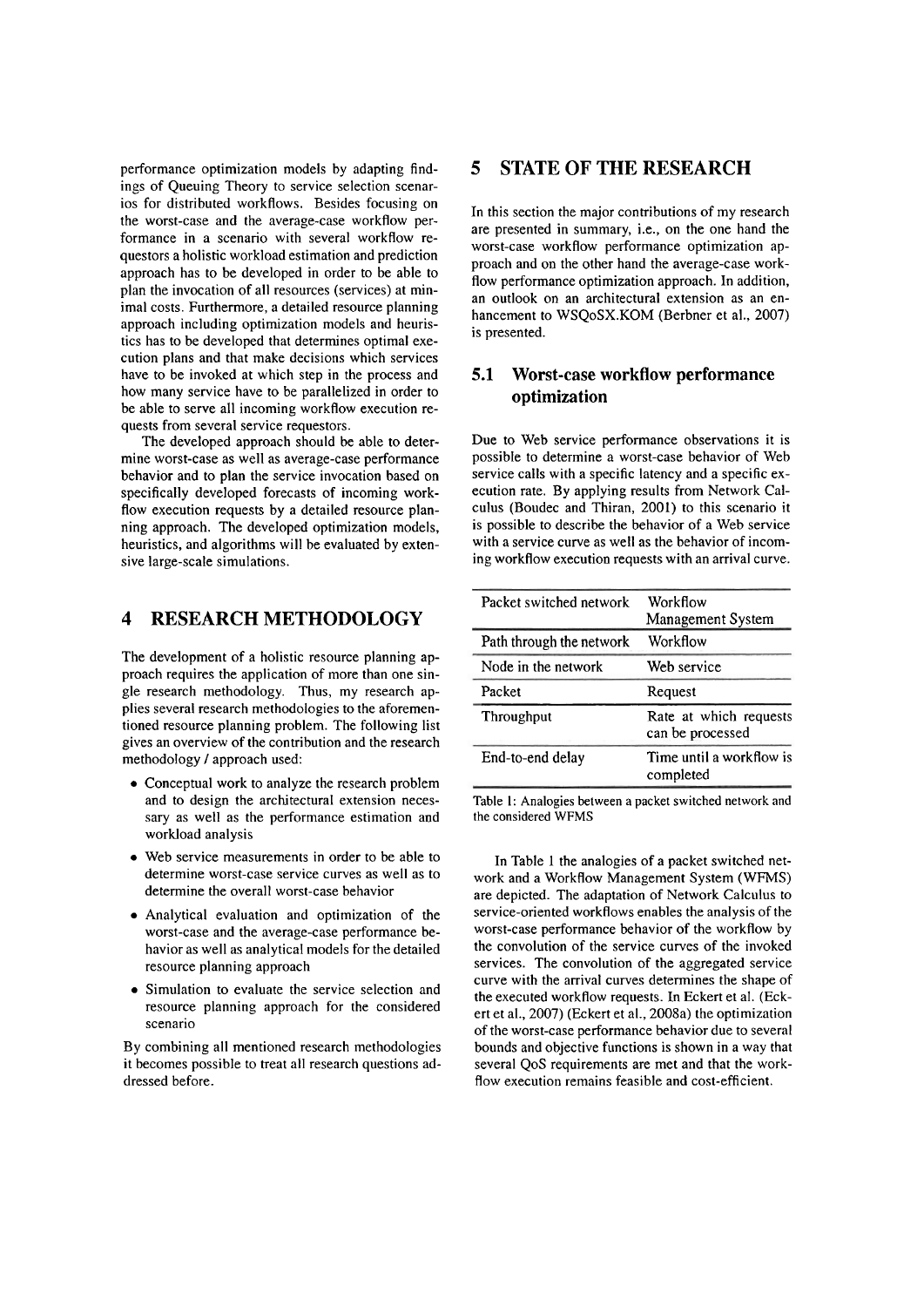performance optimization models by adapting findings of Queuing Theory to service selection scenarios for distributed workflows. Besides focusing on the worst-case and the average-case workflow performance in a scenario with several workflow requestors a holistic workload estimation and prediction approach has to be developed in order to be able to plan the invocation of all resources (services) at minimal costs. Furthermore, a detailed resource planning approach including optimization models and heuristics has to be developed that determines optimal execution plans and that make decisions which services have to be invoked at which step in the process and how many service have to be parallelized in order to be able to serve all incoming workflow execution requests from several service requestors.

The developed approach should be able to determine worst-case as well as average-case performance behavior and to plan the service invocation based on specifically developed forecasts of incoming workflow execution requests by a detailed resource planning approach. The developed optimization models, heuristics, and algorithms will be evaluated by extensive large-scale simulations.

#### **4 RESEARCH METHODOLOGY**

The development of a holistic resource planning approach requires the application of more than one single research methodology. Thus, my research applies several research methodologies to the aforementioned resource planning problem. The following list gives an overview of the contribution and the research methodology 1 approach used:

- Conceptual work to analyze the research problem and to design the architectural extension necessary as well as the performance estimation and workload analysis
- Web service measurements in order to be able to determine worst-case service curves as well as to determine the overall worst-case behavior
- Analytical evaluation and optimization of the worst-case and the average-case performance behavior as well as analytical models for the detailed resource planning approach
- Simulation to evaluate the service selection and resource planning approach for the considered scenario

By combining all mentioned research methodologies it becomes possible to treat all research questions addressed before.

### **5 STATE OF THE RESEARCH**

In this section the major contributions of my research are presented in summary, i.e., on the one hand the worst-case workflow performance optimization approach and on the other hand the average-case workflow performance optimization approach. In addition, an outlook on an architectural extension as an enhancement to WSQoSX.KOM (Berbner et al., 2007) is presented.

### **5.1 Worst-case workflow performance optimiza tion**

Due to Web service performance observations it is possible to determine a worst-case behavior of Web service calls with a specific latency and a specific execution rate. By applying results from Network Calculus (Boudec and Thiran, 2001) to this scenario it is possible to describe the behavior of a Web service with a service curve as well as the behavior of incoming workflow execution requests with an arrival curve.

| Packet switched network  | Workflow<br>Management System              |
|--------------------------|--------------------------------------------|
| Path through the network | Workflow                                   |
| Node in the network      | Web service                                |
| Packet                   | Request                                    |
| <b>Throughput</b>        | Rate at which requests<br>can be processed |
| End-to-end delay         | Time until a workflow is<br>completed      |

Table I: Analogies between a packet switched network and the considered WFMS

In Table 1 the analogies of a packet switched network and a Workflow Management System (WFMS) are depicted. The adaptation of Network Calculus to service-oriented workflows enables the analysis of the worst-case performance behavior of the workflow by the convolution of the service curves of the invoked services. The convolution of the aggregated service curve with the arrival curves determines the shape of the executed workflow requests. In Eckert et al. (Eckert et al., 2007) (Eckert et al., 2008a) the optimization of the worst-case performance behavior due to several bounds and objective functions is shown in a way that several QoS requirements are met and that the workflow execution remains feasible and cost-efficient.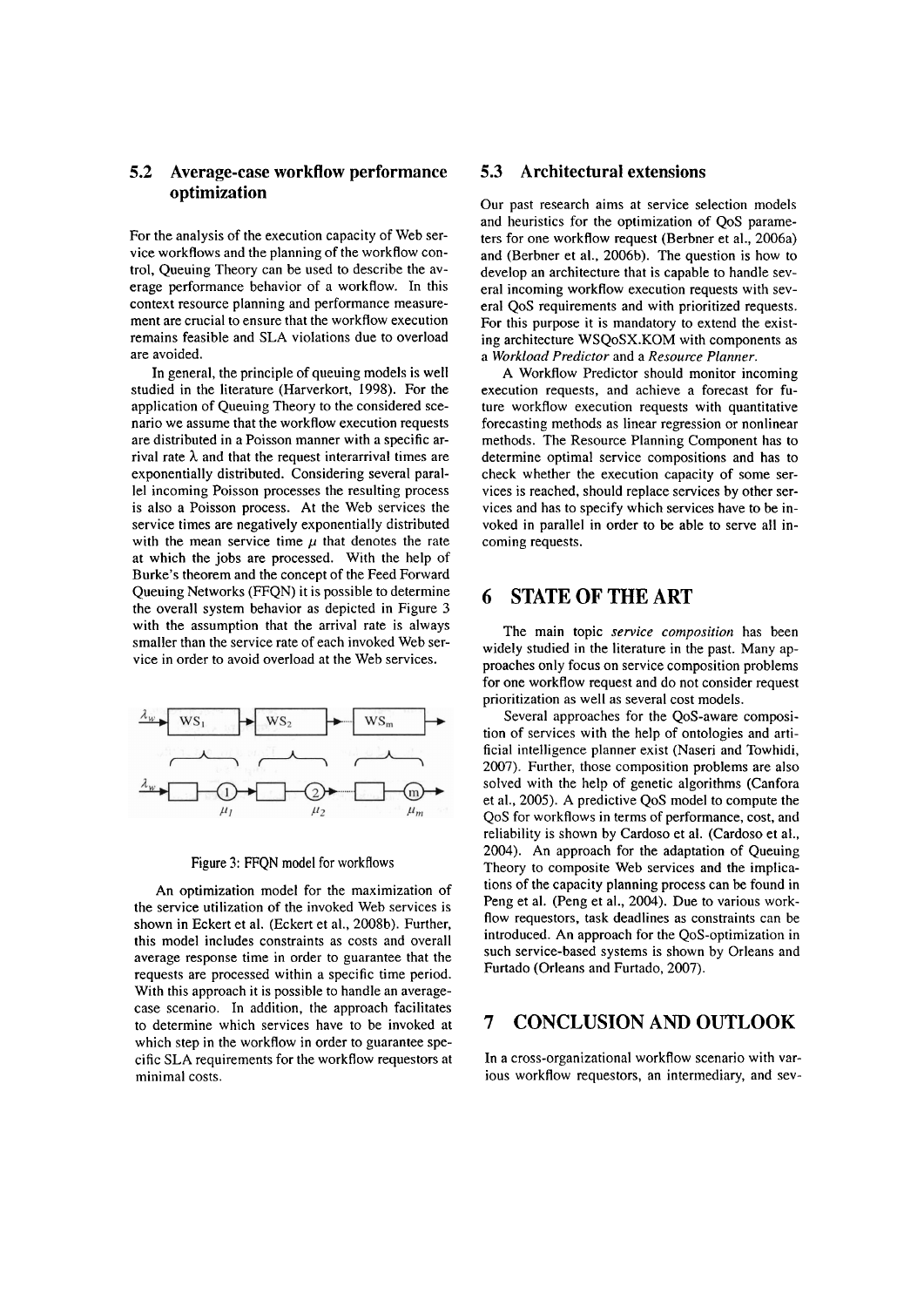#### **5.2 Average-case workflow performance optimization**

For the analysis of the execution capacity of Web service workflows and the planning of the workflow control, Queuing Theory can be used to describe the average performance behavior of a workflow. In this context resource planning and performance measurement are crucial to ensure that the workflow execution remains feasible and SLA violations due to overload are avoided.

In general, the principle of queuing models is well studied in the literature (Harverkort, 1998). For the application of Queuing Theory to the considered scenario we assume that the workflow execution requests are distributed in a Poisson manner with a specific arrival rate  $\lambda$  and that the request interarrival times are exponentially distributed. Considering several parallel incoming Poisson processes the resulting process is also a Poisson process. At the Web sewices the service times are negatively exponentially distributed with the mean service time  $\mu$  that denotes the rate at which the jobs are processed. With the help of Burke's theorem and the concept of the Feed Forward Queuing Networks (FFQN) it is possible to determine the overall system behavior as depicted in Figure **3**  with the assumption that the arrival rate is always smaller than the service rate of each invoked Web service in order to avoid overload at the Web services.





An optimization model for the maximization of the sewice utilization of the invoked Web services is shown in Eckert et al. (Eckert et al., 2008b). Further, this model includes constraints as costs and overall average response time in order to guarantee that the requests are processed within a specific time period. With this approach it is possible to handle an averagecase scenario. In addition, the approach facilitates to determine which services have to be invoked at which step in the workflow in order to guarantee specific SLA requirements for the workflow requestors at minimal costs.

#### **5.3 Architectural extensions**

Our past research aims at service selection models and heuristics for the optimization of QoS parameters for one workflow request (Berbner et al., 2006a) and (Berbner et al., 2006b). The question is how to develop an architecture that is capable to handle several incoming workflow execution requests with several QoS requirements and with prioritized requests. For this purpose it is mandatory to extend the existing architecture WSQoSX.KOM with components as a *Workload Predictor* and a *Resource Planner.* 

*A* Workflow Predictor should monitor incoming execution requests, and achieve a forecast for future workflow execution requests with quantitative forecasting methods as linear regression or nonlinear methods. The Resource Planning Component has to determine optimal service compositions and has to check whether the execution capacity of some services is reached, should replace sewices by other services and has to specify which services have to be invoked in parallel in order to **be** able to serve all incoming requests.

### **6 STATE OF THE ART**

The main topic *service cornposition* has been widely studied in the literature in the past. Many approaches only focus on service composition problems for one workflow request and do not consider request prioritization as well as several cost models.

Several approaches for the QoS-aware composition of services with the help of ontologies and artificial intelligence planner exist (Naseri and Towhidi, 2007). Further, those composition problems are also solved with the help of genetic algorithms (Canfora et al., 2005). A predictive QoS model to cornpute the QoS for workflows in terms of performance, cost, and reliability is shown by Cardoso et al. (Cardoso et al., 2004). An approach for the adaptation of Queuing Theory to composite Web services and the implications of the capacity planning process can be found in Peng et al. (Peng et al., 2004). Due to various workflow requestors, task deadlines as constraints can be introduced. An approach for the QoS-optimization in such service-based systems is shown by Orleans and Furtado (Orleans and Furtado, 2007).

## **7 CONCLUSION AND OUTLOOK**

In a cross-organizational workflow scenario with various workflow requestors, an intermediary, and sev